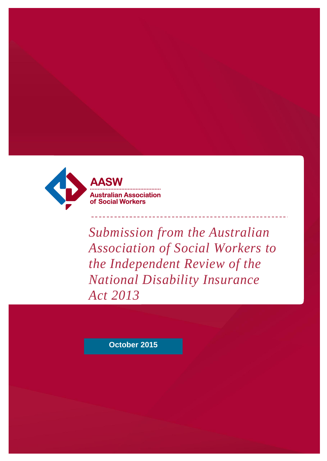

*Submission from the Australian Association of Social Workers to the Independent Review of the National Disability Insurance Act 2013*

**October 2015**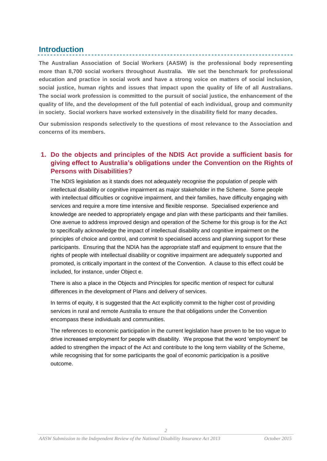# **Introduction**

**The Australian Association of Social Workers (AASW) is the professional body representing more than 8,700 social workers throughout Australia. We set the benchmark for professional education and practice in social work and have a strong voice on matters of social inclusion, social justice, human rights and issues that impact upon the quality of life of all Australians. The social work profession is committed to the pursuit of social justice, the enhancement of the quality of life, and the development of the full potential of each individual, group and community in society. Social workers have worked extensively in the disability field for many decades.** 

. . . . . . . . . . . . . . . . .

**Our submission responds selectively to the questions of most relevance to the Association and concerns of its members.** 

# **1. Do the objects and principles of the NDIS Act provide a sufficient basis for giving effect to Australia's obligations under the Convention on the Rights of Persons with Disabilities?**

The NDIS legislation as it stands does not adequately recognise the population of people with intellectual disability or cognitive impairment as major stakeholder in the Scheme. Some people with intellectual difficulties or cognitive impairment, and their families, have difficulty engaging with services and require a more time intensive and flexible response. Specialised experience and knowledge are needed to appropriately engage and plan with these participants and their families. One avenue to address improved design and operation of the Scheme for this group is for the Act to specifically acknowledge the impact of intellectual disability and cognitive impairment on the principles of choice and control, and commit to specialised access and planning support for these participants. Ensuring that the NDIA has the appropriate staff and equipment to ensure that the rights of people with intellectual disability or cognitive impairment are adequately supported and promoted, is critically important in the context of the Convention. A clause to this effect could be included, for instance, under Object e.

There is also a place in the Objects and Principles for specific mention of respect for cultural differences in the development of Plans and delivery of services.

In terms of equity, it is suggested that the Act explicitly commit to the higher cost of providing services in rural and remote Australia to ensure the that obligations under the Convention encompass these individuals and communities.

The references to economic participation in the current legislation have proven to be too vague to drive increased employment for people with disability. We propose that the word 'employment' be added to strengthen the impact of the Act and contribute to the long term viability of the Scheme, while recognising that for some participants the goal of economic participation is a positive outcome.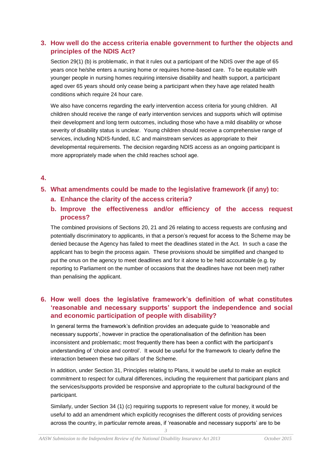### **3. How well do the access criteria enable government to further the objects and principles of the NDIS Act?**

Section 29(1) (b) is problematic, in that it rules out a participant of the NDIS over the age of 65 years once he/she enters a nursing home or requires home-based care. To be equitable with younger people in nursing homes requiring intensive disability and health support, a participant aged over 65 years should only cease being a participant when they have age related health conditions which require 24 hour care.

We also have concerns regarding the early intervention access criteria for young children. All children should receive the range of early intervention services and supports which will optimise their development and long term outcomes, including those who have a mild disability or whose severity of disability status is unclear. Young children should receive a comprehensive range of services, including NDIS-funded, ILC and mainstream services as appropriate to their developmental requirements. The decision regarding NDIS access as an ongoing participant is more appropriately made when the child reaches school age.

#### **4.**

#### **5. What amendments could be made to the legislative framework (if any) to:**

- **a. Enhance the clarity of the access criteria?**
- **b. Improve the effectiveness and/or efficiency of the access request process?**

The combined provisions of Sections 20, 21 and 26 relating to access requests are confusing and potentially discriminatory to applicants, in that a person's request for access to the Scheme may be denied because the Agency has failed to meet the deadlines stated in the Act. In such a case the applicant has to begin the process again. These provisions should be simplified and changed to put the onus on the agency to meet deadlines and for it alone to be held accountable (e.g. by reporting to Parliament on the number of occasions that the deadlines have not been met) rather than penalising the applicant.

# **6. How well does the legislative framework's definition of what constitutes 'reasonable and necessary supports' support the independence and social and economic participation of people with disability?**

In general terms the framework's definition provides an adequate guide to 'reasonable and necessary supports', however in practice the operationalisation of the definition has been inconsistent and problematic; most frequently there has been a conflict with the participant's understanding of 'choice and control'. It would be useful for the framework to clearly define the interaction between these two pillars of the Scheme.

In addition, under Section 31, Principles relating to Plans, it would be useful to make an explicit commitment to respect for cultural differences, including the requirement that participant plans and the services/supports provided be responsive and appropriate to the cultural background of the participant.

Similarly, under Section 34 (1) (c) requiring supports to represent value for money, it would be useful to add an amendment which explicitly recognises the different costs of providing services across the country, in particular remote areas, if 'reasonable and necessary supports' are to be

*3*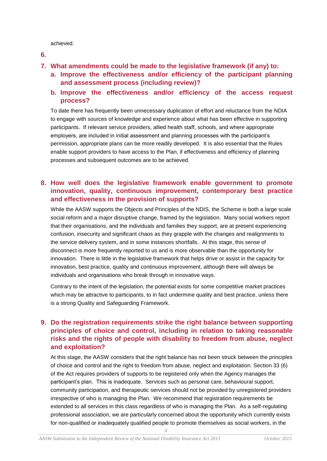achieved.

- **6.**
- **7. What amendments could be made to the legislative framework (if any) to:**
	- **a. Improve the effectiveness and/or efficiency of the participant planning and assessment process (including review)?**
	- **b. Improve the effectiveness and/or efficiency of the access request process?**

To date there has frequently been unnecessary duplication of effort and reluctance from the NDIA to engage with sources of knowledge and experience about what has been effective in supporting participants. If relevant service providers, allied health staff, schools, and where appropriate employers, are included in initial assessment and planning processes with the participant's permission, appropriate plans can be more readily developed. It is also essential that the Rules enable support providers to have access to the Plan, if effectiveness and efficiency of planning processes and subsequent outcomes are to be achieved.

### **8. How well does the legislative framework enable government to promote innovation, quality, continuous improvement, contemporary best practice and effectiveness in the provision of supports?**

While the AASW supports the Objects and Principles of the NDIS, the Scheme is both a large scale social reform and a major disruptive change, framed by the legislation. Many social workers report that their organisations, and the individuals and families they support, are at present experiencing confusion, insecurity and significant chaos as they grapple with the changes and realignments to the service delivery system, and in some instances shortfalls. At this stage, this sense of disconnect is more frequently reported to us and is more observable than the opportunity for innovation. There is little in the legislative framework that helps drive or assist in the capacity for innovation, best practice, quality and continuous improvement, although there will always be individuals and organisations who break through in innovative ways.

Contrary to the intent of the legislation, the potential exists for some competitive market practices which may be attractive to participants, to in fact undermine quality and best practice, unless there is a strong Quality and Safeguarding Framework.

# **9. Do the registration requirements strike the right balance between supporting principles of choice and control, including in relation to taking reasonable risks and the rights of people with disability to freedom from abuse, neglect and exploitation?**

At this stage, the AASW considers that the right balance has not been struck between the principles of choice and control and the right to freedom from abuse, neglect and exploitation. Section 33 (6) of the Act requires providers of supports to be registered only when the Agency manages the participant's plan. This is inadequate. Services such as personal care, behavioural support, community participation, and therapeutic services should not be provided by unregistered providers irrespective of who is managing the Plan. We recommend that registration requirements be extended to all services in this class regardless of who is managing the Plan. As a self-regulating professional association, we are particularly concerned about the opportunity which currently exists for non-qualified or inadequately qualified people to promote themselves as social workers, in the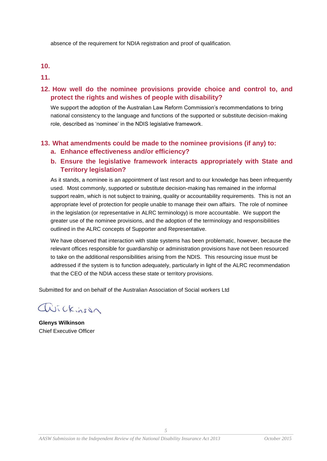absence of the requirement for NDIA registration and proof of qualification.

#### **10.**

**11.**

#### **12. How well do the nominee provisions provide choice and control to, and protect the rights and wishes of people with disability?**

We support the adoption of the Australian Law Reform Commission's recommendations to bring national consistency to the language and functions of the supported or substitute decision-making role, described as 'nominee' in the NDIS legislative framework.

#### **13. What amendments could be made to the nominee provisions (if any) to: a. Enhance effectiveness and/or efficiency?**

### **b. Ensure the legislative framework interacts appropriately with State and Territory legislation?**

As it stands, a nominee is an appointment of last resort and to our knowledge has been infrequently used. Most commonly, supported or substitute decision-making has remained in the informal support realm, which is not subject to training, quality or accountability requirements. This is not an appropriate level of protection for people unable to manage their own affairs. The role of nominee in the legislation (or representative in ALRC terminology) is more accountable. We support the greater use of the nominee provisions, and the adoption of the terminology and responsibilities outlined in the ALRC concepts of Supporter and Representative.

We have observed that interaction with state systems has been problematic, however, because the relevant offices responsible for guardianship or administration provisions have not been resourced to take on the additional responsibilities arising from the NDIS. This resourcing issue must be addressed if the system is to function adequately, particularly in light of the ALRC recommendation that the CEO of the NDIA access these state or territory provisions.

Submitted for and on behalf of the Australian Association of Social workers Ltd

avickinson

**Glenys Wilkinson** Chief Executive Officer